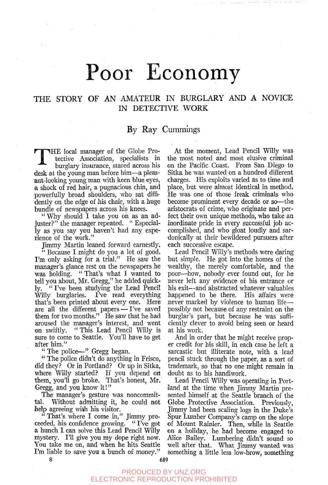# Poor Economy

# THE STORY OF AN AMATEUR IN BURGLARY AND A NOVICE IN DETECTIVE WORK

## By Ray Cummings

T HE local manager of the Globe Protective Association, specialists in burglary insurance, stared across his desk at the young man before him—a pleasant-looking young man with keen blue eyes, a shock of red hair, a pugnacious chin, and powerfully broad shoulders, who sat diffidently on the edge of his chair, with a huge bundle of newspapers across his knees.

" Why should I take you on as an adjuster?" the manager repeated. " Especially as you say you haven't had any experience of the work."

Jimmy Martin leaned forward earnestly.

" Because I might do you a lot of good. I'm only asking for a trial." He saw the manager's glance rest on the newspapers he was holding. "That's what I wanted to tell you about, Mr. Gregg," he added quickly. " I've been studying the Lead Pencil Willy burglaries. I've read everything that's been printed about every one. Here are all the different papers — I've saved them for two months." He saw that he had aroused the manager's interest, and went<br>on swiftly. "This Lead Pencil Willy is " This Lead Pencil Willy is sure to come to Seattle. You'll have to get after him."

" The police—" Gregg began.

" The police didn't do anything in Frisco, did they? Or in Portland? Or up in Sitka, where Willy started? If you depend on them, you'll go broke. That's honest, Mr. Gregg, and you know it!"

The manager's gesture was noncommittal. Without admitting it, he could not help agreeing with his visitor.

" That's where I come in," Jimmy proceeded, his- confidence growing. " I've got a hunch I can solve this Lead Pencil Willy mystery. I'll give you my dope right now. You take me on, and when he hits Seattle I'm liable to save you a bunch of money."

At the moment. Lead Pencil Willy was the most noted and most elusive criminal on the Pacific Coast. From San Diego to Sitka he was wanted on a hundred different charges. His exploits varied as to time and place, but were almost identical in method. He was one of those freak criminals who become prominent every decade or so—the aristocrats of crime, who originate and perfect their own unique methods, who take an inordinate pride in every successful job accomplished, and who gloat loudly and sardonically at their bewildered pursuers after each successive escape.

Lead Pencil Willy's methods were daring but simple. He got into the homes of the wealthy, the merely comfortable, and the poor—how, nobody ever found out, for he never left any evidence of his entrance or his exit—and abstracted whatever valuables happened to be there. His affairs were never marked by violence to human life possibly not because of any restraint on the burglar's part, but because he was sufficiently clever to avoid being seen or heard at his work.

And in order that he might receive proper credit for his skill, in each case he left a sarcastic but illiterate note, with a lead pencil stuck through the paper, as a sort of trademark, so that no one might remain in doubt as to his handiwork.

Lead Pencil Willy was operating in Portland at the time when Jimmy Martin presented himself at the Seattle branch of the Globe Protective Association. Previously, Jimmy had been scaling logs in the Duke's Spur Lumber Company's camp on the slope of Mount Rainier. Then, while in Seattle on a holiday, he had become engaged to Alice Bailey. Lumbering didn't sound so well after that. What Jimmy wanted was something a little less low-brow, something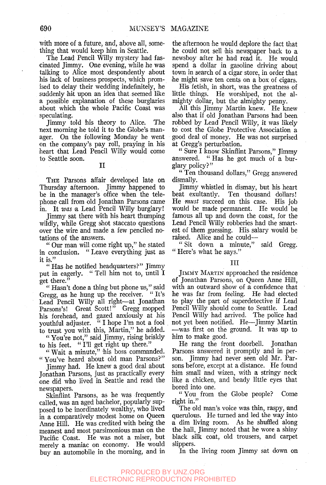with more of a future, and, above all, something that would keep him in Seattle.

The Lead Pencil Willy mystery had fascinated Jimmy. One evening, while he was talking to Alice most despondently about his lack of business prospects, which promised to delay their wedding indefinitely, he suddenly hit upon an idea that seemed like a possible explanation of these burglaries about which the whole Pacific Coast was speculating.

Jimmy told bis theory to Alice. The next morning he told it to the Globe's manager. On the following Monday he went on the company's pay roll, praying in his heart that Lead Pencil Willy would come to Seattle soon.

#### II

THE Parsons affair developed late on Thursday afternoon. Jimmy happened to be in the manager's office when the telephone call from old Jonathan Parsons came in. It *was* a Lead Pencil Willy burglary!

Jimmy sat there with his heart thumping wildly, while Gregg shot staccato questions over the wire and made a few penciled notations of the answers.

" Our man will come right up," he stated in conclusion. " Leave everything just as it is."

" Has he notified headquarters?" Jimmy put in eagerly. " Tell him not to, until I •get there."

" Hasn't done a thing but phone us," said Gregg, as he hung up the receiver. "It's Lead Pencil Willy all right—at Jonathan Parsons's! Great Scott!" Gregg mopped his forehead, and gazed anxiously at his youthful adjuster. " I hope I'm not a fool to trust you with this, Martin," he added.

" You're not," said Jimmy, rising briskly to his feet. " I'll get right up there."

" Wait a minute," his boss commanded. " You've heard about old man Parsons?"

Jimmy had. He knew a good deal about Jonathan Parsons, just as practically every one did who lived in Seattle and read the newspapers.

Skinflint Parsons, as he was frequently called, was an aged bachelor, popularly supposed to be inordinately wealthy, who lived in a comparatively modest home on Queen Anne Hill. He was credited with being the meanest and most parsimonious man on the Pacific Coast. He was not a miser, but merely a maniac on economy. He would buy an automobile in the morning, and in

the afternoon he would deplore the fact that he could not sell his newspaper back to a newsboy after he had read it. He would spend a dollar in gasoline driving about town in search of a cigar store, in order that he might save ten cents on a box of cigars.

His fetish, in short, was the greatness of little things. He worshiped, not the almighty dollar, but the almighty penny.

All this Jimmy Martin knew. He knew also that if old Jonathan Parsons had been robbed by Lead Pencil Willy, it was likely to cost the Globe Protective Association a good deal of money. He was not surprised at Gregg's perturbation.

" Sure I know Skinflint Parsons," Jimmy " Has he got much of a burglary policy?"

" Ten thousand dollars," Gregg answered dismally.

Jimmy whistled in dismay, but his heart beat exultantly. Ten thousand dollars! He *must* succeed on this case. His job would be made permanent. He would be famous all up and down the coast, for the Lead Pencil Willy robberies had the smartest of them guessing. His salary would be raised. Alice and he could—

" Sit down a minute," said Gregg. " Here's what he says."

#### Ill

JIMMY MARTIN approached the residence of Jonathan Parsons, on Queen Anne Hill, with an outward show of a confidence that he was far from feeling. He had elected to play the part of superdetective if Lead Pencil Willy should come to Seattle. Lead Pencil Willy had arrived. The police had not yet been notified. He—Jimmy Martin —was first on the ground. It was up to him to make good.

He rang the front doorbell. Jonathan Parsons answered it promptly and in person. Jimmy had never seen old Mr. Parsons before, except at a distance. He found him small and wizen, with a stringy neck like a chicken, and beady little eyes that bored into one.

" You from the Globe people? Come right in."

The old man's voice was thin, raspy, and querulous. He turned and led the way into a dim living room. As he shuffled along the hall, Jimmy noted that he wore a shiny black silk coat, old trousers, and carpet slippers.

In the living room Jimmy sat down on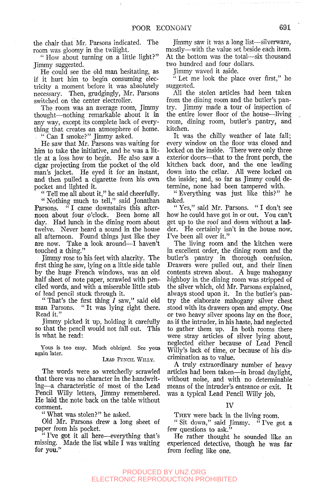the chair ithat Mr. Parsons indicated. The room was gloomy in the twilight.

" How about turning on a little light?" Jimmy suggested.

He could see the old man hesitating, as if it hurt him to begin consuming electricity a moment before it was absolutely necessary. Then, grudgingly, Mr. Parsons switched on the center electrolier.

The room was an average room, Jimmy thought—^nothing remarkable about it in any way, except its complete lack of everything that creates an atmosphere of home. " Can I smoke?" Jimmy asked.

He saw that Mr. Parsons was waiting for him to take the initiative, and he was a little at a loss how to begin. He also saw a cigar projecting from the pocket of the old man's jacket. He eyed it for an instant, and then pulled a cigarette from his own pocket and lighted it.

" Tell me all about it," he said cheerfully. " Nothing much to tell," said Jonathan Parsons. "I came downstairs this afternoon about four o'clock. Been home all day. Had lunch in the dining room about twelve. Never heard a sound in the house all afternoon. Found things just like they are now. Take a look around—I haven't touched a thing."

Jimmy rose to his feet with alacrity. The first thing he saw, lying on a little side table by the huge French windows, was an old half sheet of note paper, scrawled with penciled words, and with a miserable little stub of lead pencil stuck through it.

" That's the first thing  $I$  saw," said old man Parsons. " It was lying right there. Read it."

Jimmy picked it up, holding it carefully so that the pencil would not fall out. This is what he read:

Yous is too easy. Much obleiged. See yous again later.

LEAD PENCIL WILLY.

The words were so wretchedly scrawled that there was no character in the handwriting—^a characteristic of most of the Lead Pencil Willy letters, Jimmy remembered. He laid the note back on the table without comment.

" What was stolen?" he asked.

Old Mr. Parsons drew a long sheet of paper from his pocket.

" I've got it all here—everything that's missing. Made the list while  $\tilde{I}$  was waiting for you."

Jimmy saw it was a long list—silverware, mostly—with the value set beside each item. At the bottom was the total—six thousand two hundred and four dollars.

Jimmy waved it aside.

 $\cdot$  Let me look the place over first," he suggested.

All the stolen articles had been taken from the dining room and the butler's pantry. Jimmy made a tour of inspection of the entire lower floor of the house—living room, dining room, butler's pantry, and kitchen.

It was the chilly weather of late fall; every window on the floor was closed and locked on the inside. There were only three exterior doors—^that to the front porch, the kitchen back door, and the one leading down into the cellar. All were locked on ithe inside; and, so far as Jimmy could determine, none had been tampered with.

" Everything was just like this?" he asked.

" Yes," said Mr. Parsons. " I don't see how he could have got in or out. You can't get up to the roof and down without a ladder. He certainly isn't in the house now. I've been all over it."

The living room and the kitchen were in excellent order, the dining room and the butler's pantry in thorough confusion. Drawers were pulled out, and their linen contents strewn about. A huge mahogany highboy in the dining room was stripped of the silver which, old Mr. Parsons explained, always stood upon it. In the butler's pantry the elaborate mahogany silver chest stood with its drawers open and empty. One or two heavy silver spoons lay on the floor, as if the intruder, in his haste, had neglected to gather them up. In both rooms there were stray articles of silver lying about, neglected either because of Lead Pencil Willy's lack of time, or because of his discrimination as to value.

A truly extraordinary number of heavy articles had been taken—in broad daylight, without noise, and with no determinable means of the intruder's entrance or exit. It was a typical Lead Pencil Willy job.

THEY were back in the living room.

" Sit down," said Jimmy. "I've got a few questions to ask."

He rather thought he sounded like an experienced detective, though he was far from feeling like one.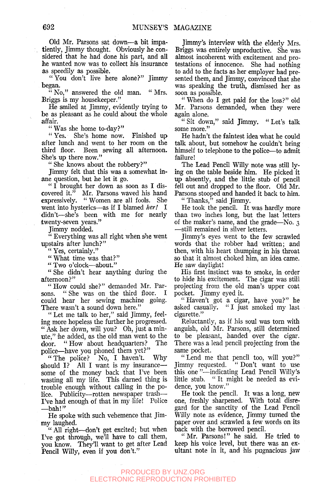Old Mr. Parsons sat down—a bit impatiently, Jimmy thought. Obviously he considered that he had done his part, and all he wanted now was to collect his insurance as speedily as possible.

" You don't live here alone?" Jimmy began.

 $\frac{\pi}{10}$  No." answered the old man. "Mrs. Briggs is my housekeeper."

He smiled at Jimmy, evidently trying to be as pleasant as he could about *the* whole affair.

" Was she home to-day?"

" Yes. She's home now. Finished up after lunch and went to her room on the third floor. Been sewing all afternoon. She's up there now."

" She knows about the robbery?"

Jimmy felt that this was a somewhat inane question, but he let it go.

" I brought her down as soon as I discovered it." Mr. Parsons waved his hand expressively. " Women are all fools. She went into hysterics—as if I blamed *her!* I didn't—she's been with me for nearly twenty-seven years."

Jimmy nodded.

" Everything was all right when she went upstairs after lunch?"

" Yes, certainly."

"What time was that?"

*"* Two o'clock—about."

" She didn't hear anything during the afternoon?"

" How could she?" demanded Mr. Parsons. " She was on the third floor. I " She was on the third floor. I could hear her sewing machine going. There wasn't a sound down here."

" Let me talk to her," said Jimmy, feeling more hopeless the further he progressed. " Ask her down, will you? Oh, just a minute," he added, as the old man went to the door. "How about headquarters? The door. "How about headquarters? police—have you phoned them yet?"<br>"The police? No. I haven't. Why

"The police? No, I haven't. should I? All I want is my insurance some of the money back that I've been wasting all my life. This darned thing is trouble enough without calling in the police. Publicity—rotten newspaper trash— I've had enough of that in my life! Police —bah!"

He spoke with such vehemence that Jimmy laughed.

" All right- $-don$ 't get excited; but when I've got through, we'll have to call them, you know. They'll want to get after Lead Pencil Willy, even if you don't."

Jimmy's interview with the elderly Mrs. Briggs was entirely unproductive. She was almost incoherent with excitement and protestations of innocence. She had nothing to add to the facts as her employer had presented them, and Jimmy, convinced that she was speaking the truth, dismissed her as soon as possible.

" When do I get paid for the loss?" old Mr. Parsons demanded, when they were again alone.

" Sit down," said Jimmy. " Let's talk some more."

He hadn't the faintest idea what he could talk about, but somehow he couldn't bring himself to telephone to the police—to admit failure!

The Lead Pencil Willy note was still lying on the table beside him. He picked it up absently, and the little stub of pencil fell out and dropped to the floor. Old Mr. Parsons stooped and handed it back to him.

" Thanks, $\hat{v}$  said Jimmy.

He took the pencil. It was hardly more than two inches long, but the last letters of the maker's name, and the grade—No. 3 —still remained in silver letters.

Jimmy's eyes went to the few scrawled words that the robber had written; and then, with his heart thumping in his throat so that it almost choked him, an idea came. He saw daylight!

His first instinct was to smoke, in order to hide his excitement. The cigar was still projecting from the old man's upper coat pocket. Jimmy eyed it.

" Haven't got a cigar, have you?" he asked casually. "I just smoked my last cigarette."

Reluctantly, as if his soul was torn with anguish, old Mr. Parsons, still determined to be pleasant, handed over the cigar. There was a lead pencil projecting from the same pocket.

" Lend me that pencil too, will you?" Jimmy requested. " Don't want to use this one "—indicating Lead Pencil Willy's little stub. " It might be needed as evidence, you know."

He took the pencil. It was a long, new one, freshly sharpened. With total disregard for the sanctity of the Lead Pencil Willy note *as,* evidence, Jimmy turned the paper over and scrawled a few words on its back with the borrowed pencil.

"Mr. Parsons!" he said. He tried to keep his voice level, but there was an exultant note in it, and his pugnacious jaw